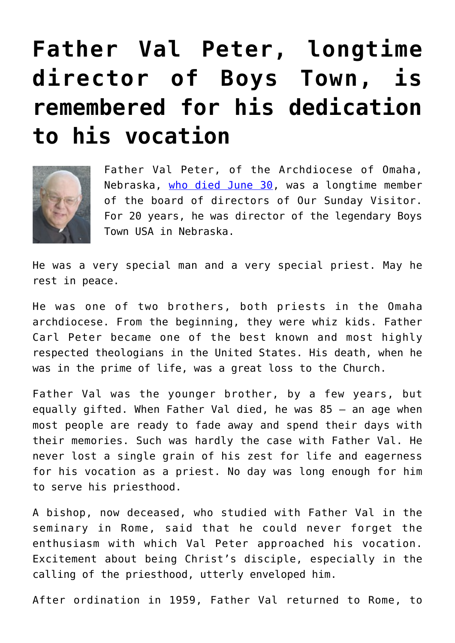## **[Father Val Peter, longtime](https://www.osvnews.com/2020/07/06/father-val-peter-longtime-director-of-boys-town-is-remembered-for-his-dedication-to-his-vocation/) [director of Boys Town, is](https://www.osvnews.com/2020/07/06/father-val-peter-longtime-director-of-boys-town-is-remembered-for-his-dedication-to-his-vocation/) [remembered for his dedication](https://www.osvnews.com/2020/07/06/father-val-peter-longtime-director-of-boys-town-is-remembered-for-his-dedication-to-his-vocation/) [to his vocation](https://www.osvnews.com/2020/07/06/father-val-peter-longtime-director-of-boys-town-is-remembered-for-his-dedication-to-his-vocation/)**



Father Val Peter, of the Archdiocese of Omaha, Nebraska, [who died June 30](https://osvnews.com/2020/07/01/father-val-peter-boys-towns-leader-for-20-years-dies/), was a longtime member of the board of directors of Our Sunday Visitor. For 20 years, he was director of the legendary Boys Town USA in Nebraska.

He was a very special man and a very special priest. May he rest in peace.

He was one of two brothers, both priests in the Omaha archdiocese. From the beginning, they were whiz kids. Father Carl Peter became one of the best known and most highly respected theologians in the United States. His death, when he was in the prime of life, was a great loss to the Church.

Father Val was the younger brother, by a few years, but equally gifted. When Father Val died, he was 85 — an age when most people are ready to fade away and spend their days with their memories. Such was hardly the case with Father Val. He never lost a single grain of his zest for life and eagerness for his vocation as a priest. No day was long enough for him to serve his priesthood.

A bishop, now deceased, who studied with Father Val in the seminary in Rome, said that he could never forget the enthusiasm with which Val Peter approached his vocation. Excitement about being Christ's disciple, especially in the calling of the priesthood, utterly enveloped him.

After ordination in 1959, Father Val returned to Rome, to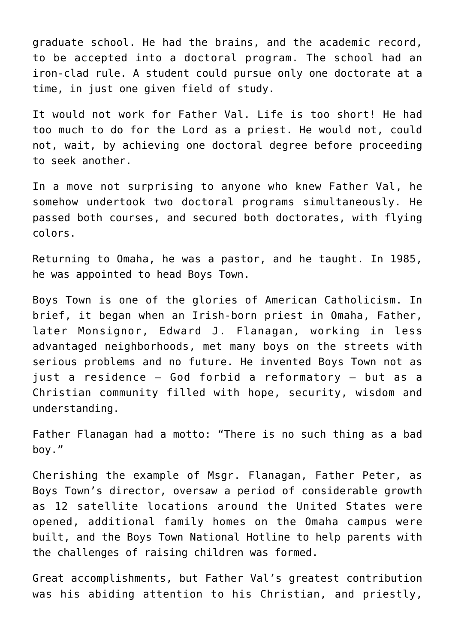graduate school. He had the brains, and the academic record, to be accepted into a doctoral program. The school had an iron-clad rule. A student could pursue only one doctorate at a time, in just one given field of study.

It would not work for Father Val. Life is too short! He had too much to do for the Lord as a priest. He would not, could not, wait, by achieving one doctoral degree before proceeding to seek another.

In a move not surprising to anyone who knew Father Val, he somehow undertook two doctoral programs simultaneously. He passed both courses, and secured both doctorates, with flying colors.

Returning to Omaha, he was a pastor, and he taught. In 1985, he was appointed to head Boys Town.

Boys Town is one of the glories of American Catholicism. In brief, it began when an Irish-born priest in Omaha, Father, later Monsignor, Edward J. Flanagan, working in less advantaged neighborhoods, met many boys on the streets with serious problems and no future. He invented Boys Town not as just a residence — God forbid a reformatory — but as a Christian community filled with hope, security, wisdom and understanding.

Father Flanagan had a motto: "There is no such thing as a bad boy."

Cherishing the example of Msgr. Flanagan, Father Peter, as Boys Town's director, oversaw a period of considerable growth as 12 satellite locations around the United States were opened, additional family homes on the Omaha campus were built, and the Boys Town National Hotline to help parents with the challenges of raising children was formed.

Great accomplishments, but Father Val's greatest contribution was his abiding attention to his Christian, and priestly,